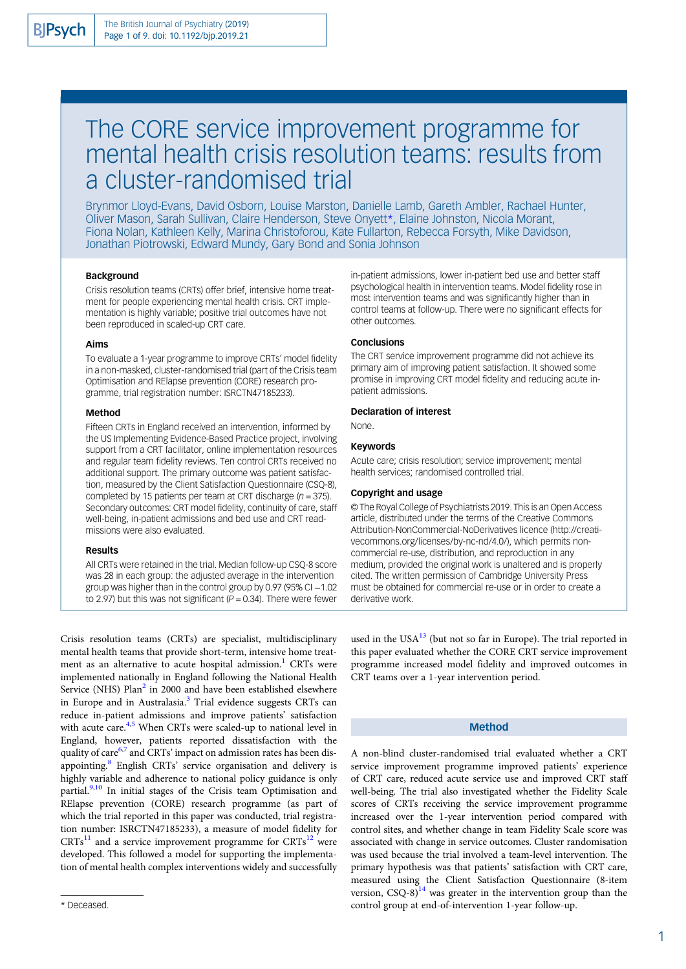# The CORE service improvement programme for mental health crisis resolution teams: results from a cluster-randomised trial

Brynmor Lloyd-Evans, David Osborn, Louise Marston, Danielle Lamb, Gareth Ambler, Rachael Hunter, Oliver Mason, Sarah Sullivan, Claire Henderson, Steve Onyett\*, Elaine Johnston, Nicola Morant, Fiona Nolan, Kathleen Kelly, Marina Christoforou, Kate Fullarton, Rebecca Forsyth, Mike Davidson, Jonathan Piotrowski, Edward Mundy, Gary Bond and Sonia Johnson

## Background

Crisis resolution teams (CRTs) offer brief, intensive home treatment for people experiencing mental health crisis. CRT implementation is highly variable; positive trial outcomes have not been reproduced in scaled-up CRT care.

## Aims

To evaluate a 1-year programme to improve CRTs' model fidelity in a non-masked, cluster-randomised trial (part of the Crisis team Optimisation and RElapse prevention (CORE) research programme, trial registration number: ISRCTN47185233).

#### Method

Fifteen CRTs in England received an intervention, informed by the US Implementing Evidence-Based Practice project, involving support from a CRT facilitator, online implementation resources and regular team fidelity reviews. Ten control CRTs received no additional support. The primary outcome was patient satisfaction, measured by the Client Satisfaction Questionnaire (CSQ-8), completed by 15 patients per team at CRT discharge ( $n = 375$ ). Secondary outcomes: CRT model fidelity, continuity of care, staff well-being, in-patient admissions and bed use and CRT readmissions were also evaluated.

## Results

All CRTs were retained in the trial. Median follow-up CSQ-8 score was 28 in each group: the adjusted average in the intervention group was higher than in the control group by 0.97 (95% CI −1.02 to 2.97) but this was not significant ( $P = 0.34$ ). There were fewer

Crisis resolution teams (CRTs) are specialist, multidisciplinary mental health teams that provide short-term, intensive home treat-ment as an alternative to acute hospital admission.<sup>[1](#page-7-0)</sup> CRTs were implemented nationally in England following the National Health Service (NHS) Plan<sup>[2](#page-7-0)</sup> in 2000 and have been established elsewhere in Europe and in Australasia.<sup>[3](#page-7-0)</sup> Trial evidence suggests CRTs can reduce in-patient admissions and improve patients' satisfaction with acute care.<sup>[4,5](#page-8-0)</sup> When CRTs were scaled-up to national level in England, however, patients reported dissatisfaction with the quality of care<sup>[6,7](#page-8-0)</sup> and CRTs' impact on admission rates has been disappointing.[8](#page-8-0) English CRTs' service organisation and delivery is highly variable and adherence to national policy guidance is only partial.<sup>[9,10](#page-8-0)</sup> In initial stages of the Crisis team Optimisation and RElapse prevention (CORE) research programme (as part of which the trial reported in this paper was conducted, trial registration number: ISRCTN47185233), a measure of model fidelity for  $CRTs<sup>11</sup>$  $CRTs<sup>11</sup>$  $CRTs<sup>11</sup>$  and a service improvement programme for  $CRTs<sup>12</sup>$  $CRTs<sup>12</sup>$  $CRTs<sup>12</sup>$  were developed. This followed a model for supporting the implementation of mental health complex interventions widely and successfully

in-patient admissions, lower in-patient bed use and better staff psychological health in intervention teams. Model fidelity rose in most intervention teams and was significantly higher than in control teams at follow-up. There were no significant effects for other outcomes.

#### Conclusions

The CRT service improvement programme did not achieve its primary aim of improving patient satisfaction. It showed some promise in improving CRT model fidelity and reducing acute inpatient admissions.

## Declaration of interest

None.

#### Keywords

Acute care; crisis resolution; service improvement; mental health services; randomised controlled trial.

#### Copyright and usage

© The Royal College of Psychiatrists 2019. This is an Open Access article, distributed under the terms of the Creative Commons Attribution-NonCommercial-NoDerivatives licence (http://creativecommons.org/licenses/by-nc-nd/4.0/), which permits noncommercial re-use, distribution, and reproduction in any medium, provided the original work is unaltered and is properly cited. The written permission of Cambridge University Press must be obtained for commercial re-use or in order to create a derivative work.

used in the  $USA^{13}$  $USA^{13}$  $USA^{13}$  (but not so far in Europe). The trial reported in this paper evaluated whether the CORE CRT service improvement programme increased model fidelity and improved outcomes in CRT teams over a 1-year intervention period.

## Method

A non-blind cluster-randomised trial evaluated whether a CRT service improvement programme improved patients' experience of CRT care, reduced acute service use and improved CRT staff well-being. The trial also investigated whether the Fidelity Scale scores of CRTs receiving the service improvement programme increased over the 1-year intervention period compared with control sites, and whether change in team Fidelity Scale score was associated with change in service outcomes. Cluster randomisation was used because the trial involved a team-level intervention. The primary hypothesis was that patients' satisfaction with CRT care, measured using the Client Satisfaction Questionnaire (8-item version,  $CSQ-8$ <sup>14</sup> was greater in the intervention group than the \* Deceased. control group at end-of-intervention 1-year follow-up.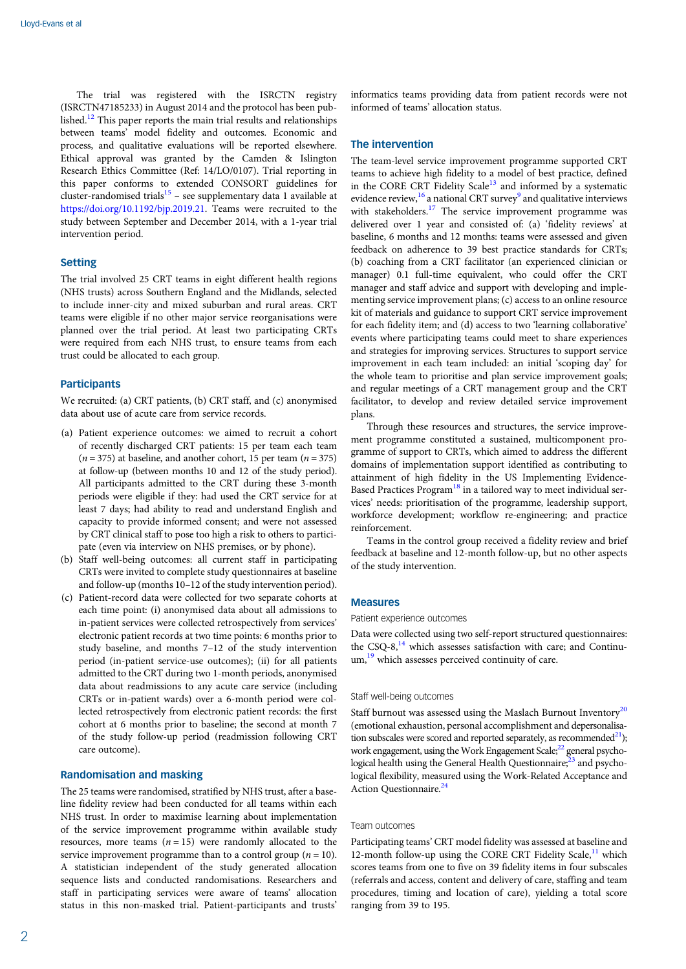The trial was registered with the ISRCTN registry (ISRCTN47185233) in August 2014 and the protocol has been published.[12](#page-8-0) This paper reports the main trial results and relationships between teams' model fidelity and outcomes. Economic and process, and qualitative evaluations will be reported elsewhere. Ethical approval was granted by the Camden & Islington Research Ethics Committee (Ref: 14/LO/0107). Trial reporting in this paper conforms to extended CONSORT guidelines for cluster-randomised trials<sup>[15](#page-8-0)</sup> – see supplementary data 1 available at [https://doi.org/10.1192/bjp.2019.21.](https://doi.org/10.1192/bjp.2019.21) Teams were recruited to the study between September and December 2014, with a 1-year trial intervention period.

# Setting

The trial involved 25 CRT teams in eight different health regions (NHS trusts) across Southern England and the Midlands, selected to include inner-city and mixed suburban and rural areas. CRT teams were eligible if no other major service reorganisations were planned over the trial period. At least two participating CRTs were required from each NHS trust, to ensure teams from each trust could be allocated to each group.

## **Participants**

We recruited: (a) CRT patients, (b) CRT staff, and (c) anonymised data about use of acute care from service records.

- (a) Patient experience outcomes: we aimed to recruit a cohort of recently discharged CRT patients: 15 per team each team  $(n = 375)$  at baseline, and another cohort, 15 per team  $(n = 375)$ at follow-up (between months 10 and 12 of the study period). All participants admitted to the CRT during these 3-month periods were eligible if they: had used the CRT service for at least 7 days; had ability to read and understand English and capacity to provide informed consent; and were not assessed by CRT clinical staff to pose too high a risk to others to participate (even via interview on NHS premises, or by phone).
- (b) Staff well-being outcomes: all current staff in participating CRTs were invited to complete study questionnaires at baseline and follow-up (months 10–12 of the study intervention period).
- (c) Patient-record data were collected for two separate cohorts at each time point: (i) anonymised data about all admissions to in-patient services were collected retrospectively from services' electronic patient records at two time points: 6 months prior to study baseline, and months 7–12 of the study intervention period (in-patient service-use outcomes); (ii) for all patients admitted to the CRT during two 1-month periods, anonymised data about readmissions to any acute care service (including CRTs or in-patient wards) over a 6-month period were collected retrospectively from electronic patient records: the first cohort at 6 months prior to baseline; the second at month 7 of the study follow-up period (readmission following CRT care outcome).

# Randomisation and masking

The 25 teams were randomised, stratified by NHS trust, after a baseline fidelity review had been conducted for all teams within each NHS trust. In order to maximise learning about implementation of the service improvement programme within available study resources, more teams  $(n = 15)$  were randomly allocated to the service improvement programme than to a control group ( $n = 10$ ). A statistician independent of the study generated allocation sequence lists and conducted randomisations. Researchers and staff in participating services were aware of teams' allocation status in this non-masked trial. Patient-participants and trusts'

informatics teams providing data from patient records were not informed of teams' allocation status.

# The intervention

The team-level service improvement programme supported CRT teams to achieve high fidelity to a model of best practice, defined in the CORE CRT Fidelity Scale<sup>[13](#page-8-0)</sup> and informed by a systematic evidence review,  $^{16}$  $^{16}$  $^{16}$  a national CRT survey<sup>[9](#page-8-0)</sup> and qualitative interviews with stakeholders.<sup>[17](#page-8-0)</sup> The service improvement programme was delivered over 1 year and consisted of: (a) 'fidelity reviews' at baseline, 6 months and 12 months: teams were assessed and given feedback on adherence to 39 best practice standards for CRTs; (b) coaching from a CRT facilitator (an experienced clinician or manager) 0.1 full-time equivalent, who could offer the CRT manager and staff advice and support with developing and implementing service improvement plans; (c) access to an online resource kit of materials and guidance to support CRT service improvement for each fidelity item; and (d) access to two 'learning collaborative' events where participating teams could meet to share experiences and strategies for improving services. Structures to support service improvement in each team included: an initial 'scoping day' for the whole team to prioritise and plan service improvement goals; and regular meetings of a CRT management group and the CRT facilitator, to develop and review detailed service improvement plans.

Through these resources and structures, the service improvement programme constituted a sustained, multicomponent programme of support to CRTs, which aimed to address the different domains of implementation support identified as contributing to attainment of high fidelity in the US Implementing Evidence-Based Practices Program<sup>18</sup> in a tailored way to meet individual services' needs: prioritisation of the programme, leadership support, workforce development; workflow re-engineering; and practice reinforcement.

Teams in the control group received a fidelity review and brief feedback at baseline and 12-month follow-up, but no other aspects of the study intervention.

#### Measures

#### Patient experience outcomes

Data were collected using two self-report structured questionnaires: the CSQ-8, $^{14}$  $^{14}$  $^{14}$  which assesses satisfaction with care; and Continuum,<sup>19</sup> which assesses perceived continuity of care.

#### Staff well-being outcomes

Staff burnout was assessed using the Maslach Burnout Inventory<sup>20</sup> (emotional exhaustion, personal accomplishment and depersonalisation subscales were scored and reported separately, as recommended $^{21}$ ); work engagement, using the Work Engagement Scale;<sup>22</sup> general psychological health using the General Health Questionnaire;<sup>23</sup> and psychological flexibility, measured using the Work-Related Acceptance and Action Questionnaire.<sup>[24](#page-8-0)</sup>

#### Team outcomes

Participating teams' CRT model fidelity was assessed at baseline and 12-month follow-up using the CORE CRT Fidelity Scale, $^{11}$  which scores teams from one to five on 39 fidelity items in four subscales (referrals and access, content and delivery of care, staffing and team procedures, timing and location of care), yielding a total score ranging from 39 to 195.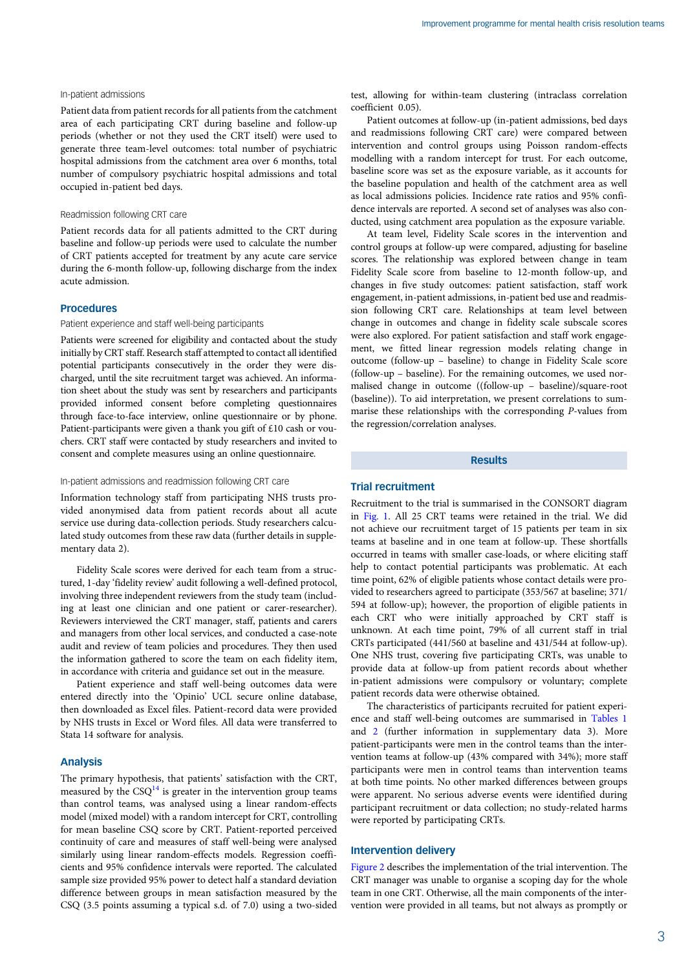## In-patient admissions

Patient data from patient records for all patients from the catchment area of each participating CRT during baseline and follow-up periods (whether or not they used the CRT itself) were used to generate three team-level outcomes: total number of psychiatric hospital admissions from the catchment area over 6 months, total number of compulsory psychiatric hospital admissions and total occupied in-patient bed days.

## Readmission following CRT care

Patient records data for all patients admitted to the CRT during baseline and follow-up periods were used to calculate the number of CRT patients accepted for treatment by any acute care service during the 6-month follow-up, following discharge from the index acute admission.

#### Procedures

## Patient experience and staff well-being participants

Patients were screened for eligibility and contacted about the study initially by CRT staff. Research staff attempted to contact all identified potential participants consecutively in the order they were discharged, until the site recruitment target was achieved. An information sheet about the study was sent by researchers and participants provided informed consent before completing questionnaires through face-to-face interview, online questionnaire or by phone. Patient-participants were given a thank you gift of £10 cash or vouchers. CRT staff were contacted by study researchers and invited to consent and complete measures using an online questionnaire.

#### In-patient admissions and readmission following CRT care

Information technology staff from participating NHS trusts provided anonymised data from patient records about all acute service use during data-collection periods. Study researchers calculated study outcomes from these raw data (further details in supplementary data 2).

Fidelity Scale scores were derived for each team from a structured, 1-day 'fidelity review' audit following a well-defined protocol, involving three independent reviewers from the study team (including at least one clinician and one patient or carer-researcher). Reviewers interviewed the CRT manager, staff, patients and carers and managers from other local services, and conducted a case-note audit and review of team policies and procedures. They then used the information gathered to score the team on each fidelity item, in accordance with criteria and guidance set out in the measure.

Patient experience and staff well-being outcomes data were entered directly into the 'Opinio' UCL secure online database, then downloaded as Excel files. Patient-record data were provided by NHS trusts in Excel or Word files. All data were transferred to Stata 14 software for analysis.

## Analysis

The primary hypothesis, that patients' satisfaction with the CRT, measured by the  $CSQ<sup>14</sup>$  $CSQ<sup>14</sup>$  $CSQ<sup>14</sup>$  is greater in the intervention group teams than control teams, was analysed using a linear random-effects model (mixed model) with a random intercept for CRT, controlling for mean baseline CSQ score by CRT. Patient-reported perceived continuity of care and measures of staff well-being were analysed similarly using linear random-effects models. Regression coefficients and 95% confidence intervals were reported. The calculated sample size provided 95% power to detect half a standard deviation difference between groups in mean satisfaction measured by the CSQ (3.5 points assuming a typical s.d. of 7.0) using a two-sided

test, allowing for within-team clustering (intraclass correlation coefficient 0.05).

Patient outcomes at follow-up (in-patient admissions, bed days and readmissions following CRT care) were compared between intervention and control groups using Poisson random-effects modelling with a random intercept for trust. For each outcome, baseline score was set as the exposure variable, as it accounts for the baseline population and health of the catchment area as well as local admissions policies. Incidence rate ratios and 95% confidence intervals are reported. A second set of analyses was also conducted, using catchment area population as the exposure variable.

At team level, Fidelity Scale scores in the intervention and control groups at follow-up were compared, adjusting for baseline scores. The relationship was explored between change in team Fidelity Scale score from baseline to 12-month follow-up, and changes in five study outcomes: patient satisfaction, staff work engagement, in-patient admissions, in-patient bed use and readmission following CRT care. Relationships at team level between change in outcomes and change in fidelity scale subscale scores were also explored. For patient satisfaction and staff work engagement, we fitted linear regression models relating change in outcome (follow-up – baseline) to change in Fidelity Scale score (follow-up – baseline). For the remaining outcomes, we used normalised change in outcome ((follow-up – baseline)/square-root (baseline)). To aid interpretation, we present correlations to summarise these relationships with the corresponding P-values from the regression/correlation analyses.

# Results

#### Trial recruitment

Recruitment to the trial is summarised in the CONSORT diagram in [Fig. 1.](#page-3-0) All 25 CRT teams were retained in the trial. We did not achieve our recruitment target of 15 patients per team in six teams at baseline and in one team at follow-up. These shortfalls occurred in teams with smaller case-loads, or where eliciting staff help to contact potential participants was problematic. At each time point, 62% of eligible patients whose contact details were provided to researchers agreed to participate (353/567 at baseline; 371/ 594 at follow-up); however, the proportion of eligible patients in each CRT who were initially approached by CRT staff is unknown. At each time point, 79% of all current staff in trial CRTs participated (441/560 at baseline and 431/544 at follow-up). One NHS trust, covering five participating CRTs, was unable to provide data at follow-up from patient records about whether in-patient admissions were compulsory or voluntary; complete patient records data were otherwise obtained.

The characteristics of participants recruited for patient experience and staff well-being outcomes are summarised in [Tables 1](#page-4-0) and [2](#page-4-0) (further information in supplementary data 3). More patient-participants were men in the control teams than the intervention teams at follow-up (43% compared with 34%); more staff participants were men in control teams than intervention teams at both time points. No other marked differences between groups were apparent. No serious adverse events were identified during participant recruitment or data collection; no study-related harms were reported by participating CRTs.

# Intervention delivery

[Figure 2](#page-5-0) describes the implementation of the trial intervention. The CRT manager was unable to organise a scoping day for the whole team in one CRT. Otherwise, all the main components of the intervention were provided in all teams, but not always as promptly or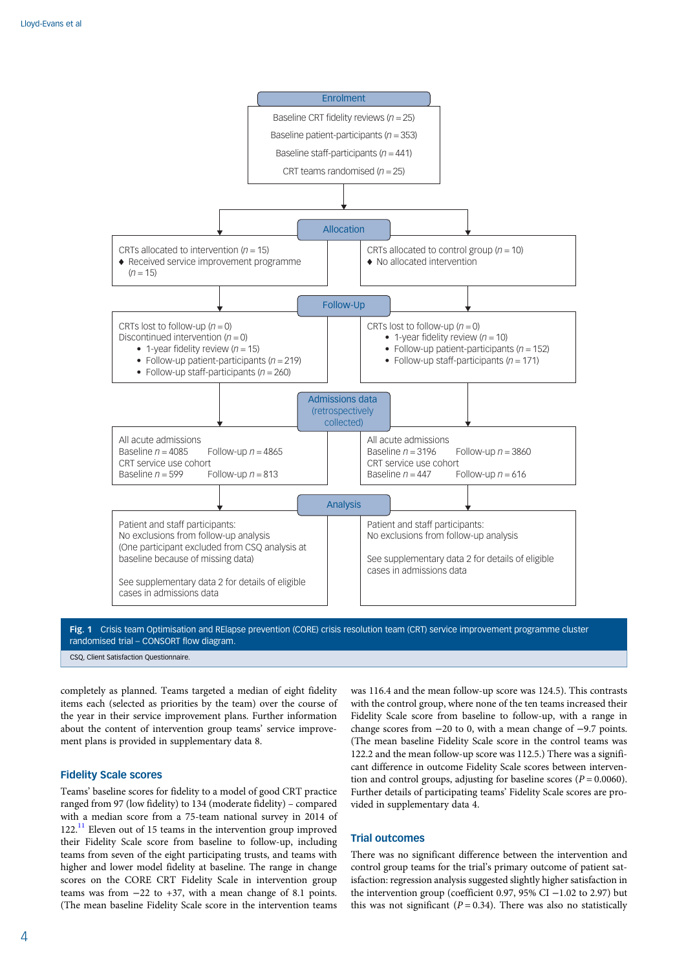<span id="page-3-0"></span>

randomised trial – CONSORT flow diagram.

CSQ, Client Satisfaction Questionnaire.

completely as planned. Teams targeted a median of eight fidelity items each (selected as priorities by the team) over the course of the year in their service improvement plans. Further information about the content of intervention group teams' service improvement plans is provided in supplementary data 8.

# Fidelity Scale scores

Teams' baseline scores for fidelity to a model of good CRT practice ranged from 97 (low fidelity) to 134 (moderate fidelity) – compared with a median score from a 75-team national survey in 2014 of  $122$ .<sup>[11](#page-8-0)</sup> Eleven out of 15 teams in the intervention group improved their Fidelity Scale score from baseline to follow-up, including teams from seven of the eight participating trusts, and teams with higher and lower model fidelity at baseline. The range in change scores on the CORE CRT Fidelity Scale in intervention group teams was from −22 to +37, with a mean change of 8.1 points. (The mean baseline Fidelity Scale score in the intervention teams

was 116.4 and the mean follow-up score was 124.5). This contrasts with the control group, where none of the ten teams increased their Fidelity Scale score from baseline to follow-up, with a range in change scores from −20 to 0, with a mean change of −9.7 points. (The mean baseline Fidelity Scale score in the control teams was 122.2 and the mean follow-up score was 112.5.) There was a significant difference in outcome Fidelity Scale scores between intervention and control groups, adjusting for baseline scores ( $P = 0.0060$ ). Further details of participating teams' Fidelity Scale scores are provided in supplementary data 4.

# Trial outcomes

There was no significant difference between the intervention and control group teams for the trial's primary outcome of patient satisfaction: regression analysis suggested slightly higher satisfaction in the intervention group (coefficient 0.97, 95% CI −1.02 to 2.97) but this was not significant ( $P = 0.34$ ). There was also no statistically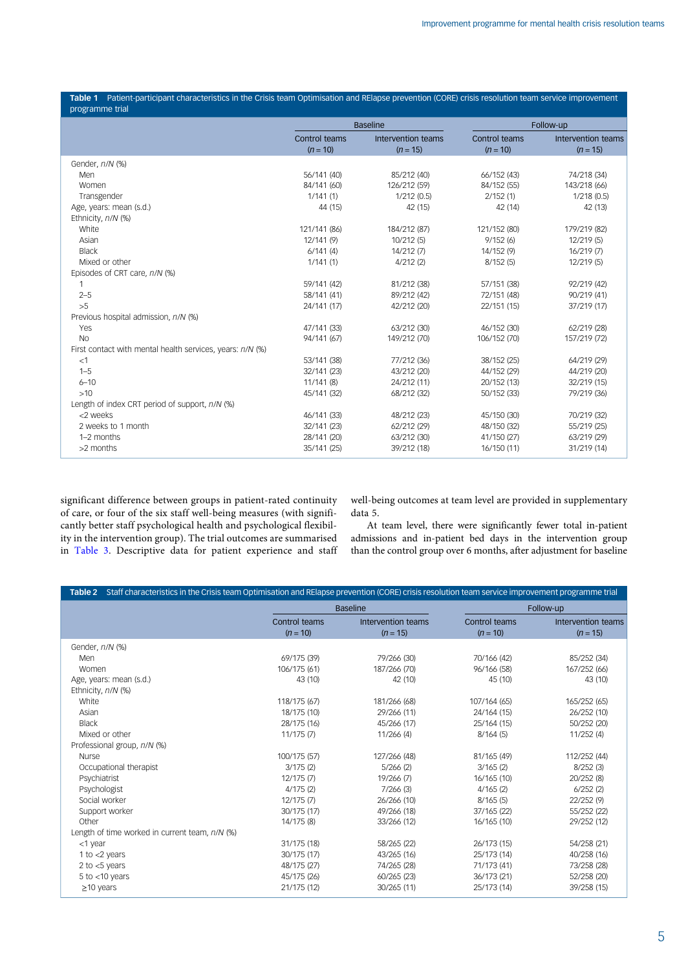# <span id="page-4-0"></span>Table 1 Patient-participant characteristics in the Crisis team Optimisation and RElapse prevention (CORE) crisis resolution team service improvement programme trial

|                                                           |                                     | <b>Baseline</b> | Follow-up     |                    |
|-----------------------------------------------------------|-------------------------------------|-----------------|---------------|--------------------|
|                                                           | Control teams<br>Intervention teams |                 | Control teams | Intervention teams |
|                                                           | $(n = 10)$                          | $(n = 15)$      | $(n = 10)$    | $(n = 15)$         |
| Gender, n/N (%)                                           |                                     |                 |               |                    |
| Men                                                       | 56/141 (40)                         | 85/212 (40)     | 66/152 (43)   | 74/218 (34)        |
| Women                                                     | 84/141 (60)                         | 126/212 (59)    | 84/152 (55)   | 143/218 (66)       |
| Transgender                                               | 1/141(1)                            | 1/212(0.5)      | 2/152(1)      | 1/218(0.5)         |
| Age, years: mean (s.d.)                                   | 44 (15)                             | 42 (15)         | 42 (14)       | 42 (13)            |
| Ethnicity, n/N (%)                                        |                                     |                 |               |                    |
| White                                                     | 121/141 (86)                        | 184/212 (87)    | 121/152 (80)  | 179/219 (82)       |
| Asian                                                     | 12/141 (9)                          | 10/212(5)       | 9/152(6)      | 12/219 (5)         |
| <b>Black</b>                                              | 6/141(4)                            | 14/212 (7)      | 14/152 (9)    | 16/219(7)          |
| Mixed or other                                            | 1/141(1)                            | 4/212(2)        | 8/152(5)      | 12/219 (5)         |
| Episodes of CRT care, n/N (%)                             |                                     |                 |               |                    |
| 1                                                         | 59/141 (42)                         | 81/212 (38)     | 57/151 (38)   | 92/219 (42)        |
| $2 - 5$                                                   | 58/141 (41)                         | 89/212 (42)     | 72/151 (48)   | 90/219 (41)        |
| >5                                                        | 24/141 (17)                         | 42/212 (20)     | 22/151 (15)   | 37/219 (17)        |
| Previous hospital admission, n/N (%)                      |                                     |                 |               |                    |
| Yes                                                       | 47/141 (33)                         | 63/212 (30)     | 46/152 (30)   | 62/219 (28)        |
| <b>No</b>                                                 | 94/141 (67)                         | 149/212 (70)    | 106/152 (70)  | 157/219 (72)       |
| First contact with mental health services, years: n/N (%) |                                     |                 |               |                    |
| <1                                                        | 53/141 (38)                         | 77/212 (36)     | 38/152 (25)   | 64/219 (29)        |
| $1 - 5$                                                   | 32/141 (23)                         | 43/212 (20)     | 44/152 (29)   | 44/219 (20)        |
| $6 - 10$                                                  | 11/141(8)                           | 24/212 (11)     | 20/152 (13)   | 32/219 (15)        |
| >10                                                       | 45/141 (32)                         | 68/212 (32)     | 50/152 (33)   | 79/219 (36)        |
| Length of index CRT period of support, n/N (%)            |                                     |                 |               |                    |
| <2 weeks                                                  | 46/141 (33)                         | 48/212 (23)     | 45/150 (30)   | 70/219 (32)        |
| 2 weeks to 1 month                                        | 32/141 (23)                         | 62/212 (29)     | 48/150 (32)   | 55/219 (25)        |
| $1-2$ months                                              | 28/141 (20)                         | 63/212 (30)     | 41/150 (27)   | 63/219 (29)        |
| >2 months                                                 | 35/141 (25)                         | 39/212 (18)     | 16/150 (11)   | 31/219 (14)        |

significant difference between groups in patient-rated continuity of care, or four of the six staff well-being measures (with significantly better staff psychological health and psychological flexibility in the intervention group). The trial outcomes are summarised in [Table 3](#page-6-0). Descriptive data for patient experience and staff

well-being outcomes at team level are provided in supplementary data 5.

At team level, there were significantly fewer total in-patient admissions and in-patient bed days in the intervention group than the control group over 6 months, after adjustment for baseline

| Table 2 Staff characteristics in the Crisis team Optimisation and RElapse prevention (CORE) crisis resolution team service improvement programme trial |                             |                                  |                             |                                  |  |  |  |
|--------------------------------------------------------------------------------------------------------------------------------------------------------|-----------------------------|----------------------------------|-----------------------------|----------------------------------|--|--|--|
|                                                                                                                                                        |                             | <b>Baseline</b>                  | Follow-up                   |                                  |  |  |  |
|                                                                                                                                                        | Control teams<br>$(n = 10)$ | Intervention teams<br>$(n = 15)$ | Control teams<br>$(n = 10)$ | Intervention teams<br>$(n = 15)$ |  |  |  |
| Gender, n/N (%)                                                                                                                                        |                             |                                  |                             |                                  |  |  |  |
| Men                                                                                                                                                    | 69/175 (39)                 | 79/266 (30)                      | 70/166 (42)                 | 85/252 (34)                      |  |  |  |
| Women                                                                                                                                                  | 106/175 (61)                | 187/266 (70)                     | 96/166 (58)                 | 167/252 (66)                     |  |  |  |
| Age, years: mean (s.d.)                                                                                                                                | 43 (10)                     | 42 (10)                          | 45 (10)                     | 43 (10)                          |  |  |  |
| Ethnicity, n/N (%)                                                                                                                                     |                             |                                  |                             |                                  |  |  |  |
| White                                                                                                                                                  | 118/175 (67)                | 181/266 (68)                     | 107/164 (65)                | 165/252 (65)                     |  |  |  |
| Asian                                                                                                                                                  | 18/175 (10)                 | 29/266 (11)                      | 24/164 (15)                 | 26/252 (10)                      |  |  |  |
| <b>Black</b>                                                                                                                                           | 28/175 (16)                 | 45/266 (17)                      | 25/164 (15)                 | 50/252 (20)                      |  |  |  |
| Mixed or other                                                                                                                                         | 11/175(7)                   | $11/266$ (4)                     | 8/164(5)                    | 11/252(4)                        |  |  |  |
| Professional group, n/N (%)                                                                                                                            |                             |                                  |                             |                                  |  |  |  |
| <b>Nurse</b>                                                                                                                                           | 100/175 (57)                | 127/266 (48)                     | 81/165 (49)                 | 112/252 (44)                     |  |  |  |
| Occupational therapist                                                                                                                                 | 3/175(2)                    | $5/266$ (2)                      | 3/165(2)                    | 8/252(3)                         |  |  |  |
| Psychiatrist                                                                                                                                           | 12/175(7)                   | 19/266 (7)                       | 16/165 (10)                 | 20/252 (8)                       |  |  |  |
| Psychologist                                                                                                                                           | 4/175(2)                    | $7/266$ (3)                      | 4/165(2)                    | 6/252(2)                         |  |  |  |
| Social worker                                                                                                                                          | 12/175(7)                   | 26/266 (10)                      | 8/165(5)                    | 22/252 (9)                       |  |  |  |
| Support worker                                                                                                                                         | 30/175 (17)                 | 49/266 (18)                      | 37/165 (22)                 | 55/252 (22)                      |  |  |  |
| Other                                                                                                                                                  | 14/175 (8)                  | 33/266 (12)                      | 16/165 (10)                 | 29/252 (12)                      |  |  |  |
| Length of time worked in current team, n/N (%)                                                                                                         |                             |                                  |                             |                                  |  |  |  |
| <1 year                                                                                                                                                | 31/175 (18)                 | 58/265 (22)                      | 26/173 (15)                 | 54/258 (21)                      |  |  |  |
| 1 to $<$ 2 years                                                                                                                                       | 30/175 (17)                 | 43/265 (16)                      | 25/173 (14)                 | 40/258 (16)                      |  |  |  |
| 2 to $<$ 5 years                                                                                                                                       | 48/175 (27)                 | 74/265 (28)                      | 71/173 (41)                 | 73/258 (28)                      |  |  |  |
| $5$ to $<$ 10 years                                                                                                                                    | 45/175 (26)                 | 60/265 (23)                      | 36/173 (21)                 | 52/258 (20)                      |  |  |  |
| $\geq$ 10 years                                                                                                                                        | 21/175 (12)                 | 30/265 (11)                      | 25/173 (14)                 | 39/258 (15)                      |  |  |  |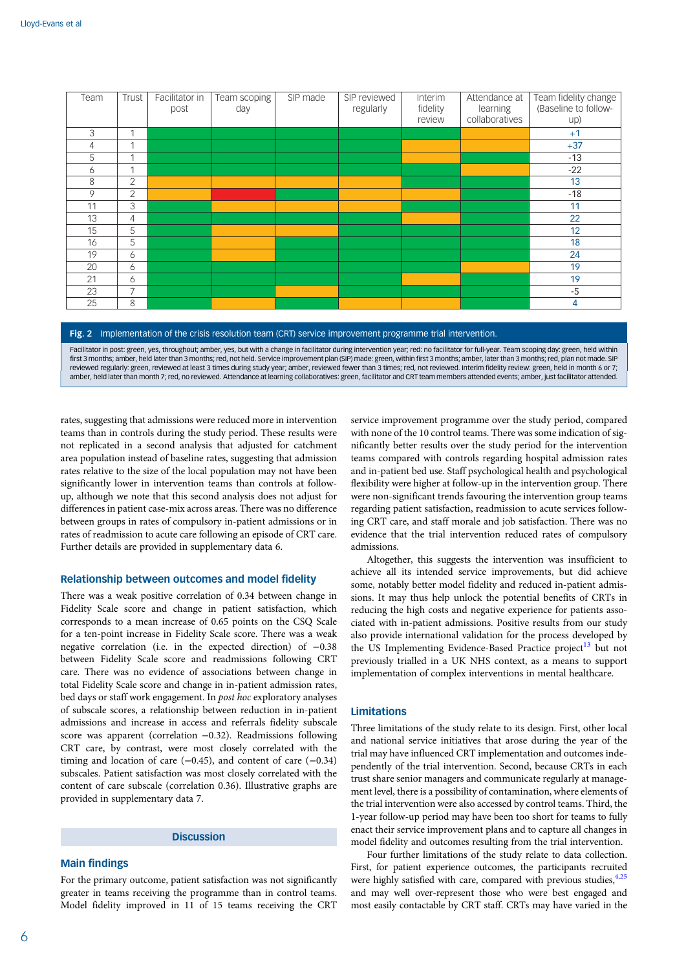<span id="page-5-0"></span>

| Team | Trust                    | Facilitator in<br>post | Team scoping<br>day | SIP made | SIP reviewed<br>regularly | Interim<br>fidelity | Attendance at<br>learning | Team fidelity change<br>(Baseline to follow- |
|------|--------------------------|------------------------|---------------------|----------|---------------------------|---------------------|---------------------------|----------------------------------------------|
|      |                          |                        |                     |          |                           | review              | collaboratives            | up)                                          |
| 3    | $\overline{\phantom{a}}$ |                        |                     |          |                           |                     |                           | $+1$                                         |
| 4    | Δ                        |                        |                     |          |                           |                     |                           | $+37$                                        |
| 5    | 4                        |                        |                     |          |                           |                     |                           | $-13$                                        |
| 6    | $\overline{\phantom{a}}$ |                        |                     |          |                           |                     |                           | $-22$                                        |
| 8    | 2                        |                        |                     |          |                           |                     |                           | 13                                           |
| 9    | 2                        |                        |                     |          |                           |                     |                           | $-18$                                        |
| 11   | 3                        |                        |                     |          |                           |                     |                           | 11                                           |
| 13   | 4                        |                        |                     |          |                           |                     |                           | 22                                           |
| 15   | 5                        |                        |                     |          |                           |                     |                           | 12                                           |
| 16   | 5                        |                        |                     |          |                           |                     |                           | 18                                           |
| 19   | 6                        |                        |                     |          |                           |                     |                           | 24                                           |
| 20   | 6                        |                        |                     |          |                           |                     |                           | 19                                           |
| 21   | 6                        |                        |                     |          |                           |                     |                           | 19                                           |
| 23   | 7                        |                        |                     |          |                           |                     |                           | $-5$                                         |
| 25   | 8                        |                        |                     |          |                           |                     |                           | 4                                            |

Fig. 2 Implementation of the crisis resolution team (CRT) service improvement programme trial intervention.

Facilitator in post: green, yes, throughout; amber, yes, but with a change in facilitator during intervention year; red: no facilitator for full-year. Team scoping day: green, held within first 3 months; amber, held later than 3 months; red, not held. Service improvement plan (SIP) made: green, within first 3 months; amber, later than 3 months; red, plan not made. SIP reviewed regularly: green, reviewed at least 3 times during study year; amber, reviewed fewer than 3 times; red, not reviewed. Interim fidelity review: green, held in month 6 or 7; amber, held later than month 7; red, no reviewed. Attendance at learning collaboratives: green, facilitator and CRT team members attended events; amber, just facilitator attended.

rates, suggesting that admissions were reduced more in intervention teams than in controls during the study period. These results were not replicated in a second analysis that adjusted for catchment area population instead of baseline rates, suggesting that admission rates relative to the size of the local population may not have been significantly lower in intervention teams than controls at followup, although we note that this second analysis does not adjust for differences in patient case-mix across areas. There was no difference between groups in rates of compulsory in-patient admissions or in rates of readmission to acute care following an episode of CRT care. Further details are provided in supplementary data 6.

## Relationship between outcomes and model fidelity

There was a weak positive correlation of 0.34 between change in Fidelity Scale score and change in patient satisfaction, which corresponds to a mean increase of 0.65 points on the CSQ Scale for a ten-point increase in Fidelity Scale score. There was a weak negative correlation (i.e. in the expected direction) of −0.38 between Fidelity Scale score and readmissions following CRT care. There was no evidence of associations between change in total Fidelity Scale score and change in in-patient admission rates, bed days or staff work engagement. In post hoc exploratory analyses of subscale scores, a relationship between reduction in in-patient admissions and increase in access and referrals fidelity subscale score was apparent (correlation −0.32). Readmissions following CRT care, by contrast, were most closely correlated with the timing and location of care  $(-0.45)$ , and content of care  $(-0.34)$ subscales. Patient satisfaction was most closely correlated with the content of care subscale (correlation 0.36). Illustrative graphs are provided in supplementary data 7.

## **Discussion**

# Main findings

For the primary outcome, patient satisfaction was not significantly greater in teams receiving the programme than in control teams. Model fidelity improved in 11 of 15 teams receiving the CRT service improvement programme over the study period, compared with none of the 10 control teams. There was some indication of significantly better results over the study period for the intervention teams compared with controls regarding hospital admission rates and in-patient bed use. Staff psychological health and psychological flexibility were higher at follow-up in the intervention group. There were non-significant trends favouring the intervention group teams regarding patient satisfaction, readmission to acute services following CRT care, and staff morale and job satisfaction. There was no evidence that the trial intervention reduced rates of compulsory admissions.

Altogether, this suggests the intervention was insufficient to achieve all its intended service improvements, but did achieve some, notably better model fidelity and reduced in-patient admissions. It may thus help unlock the potential benefits of CRTs in reducing the high costs and negative experience for patients associated with in-patient admissions. Positive results from our study also provide international validation for the process developed by the US Implementing Evidence-Based Practice project<sup>13</sup> but not previously trialled in a UK NHS context, as a means to support implementation of complex interventions in mental healthcare.

# Limitations

Three limitations of the study relate to its design. First, other local and national service initiatives that arose during the year of the trial may have influenced CRT implementation and outcomes independently of the trial intervention. Second, because CRTs in each trust share senior managers and communicate regularly at management level, there is a possibility of contamination, where elements of the trial intervention were also accessed by control teams. Third, the 1-year follow-up period may have been too short for teams to fully enact their service improvement plans and to capture all changes in model fidelity and outcomes resulting from the trial intervention.

Four further limitations of the study relate to data collection. First, for patient experience outcomes, the participants recruited were highly satisfied with care, compared with previous studies, 4, and may well over-represent those who were best engaged and most easily contactable by CRT staff. CRTs may have varied in the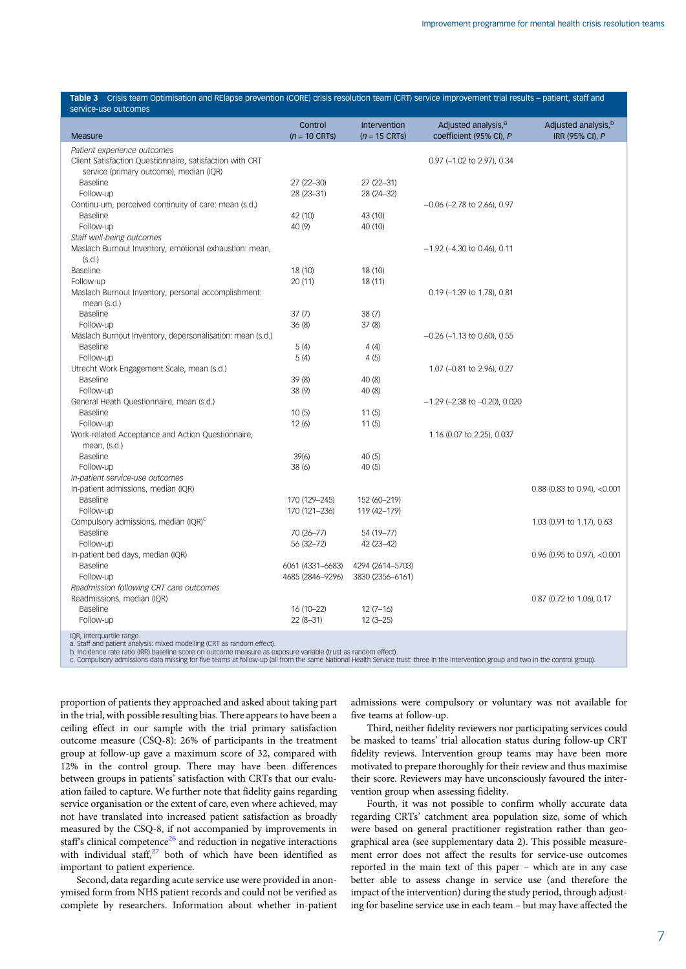| <b>Measure</b>                                                                                      | Control<br>$(n = 10 \text{ CRTs})$ | Intervention<br>$(n = 15 \text{ CRTs})$ | Adjusted analysis, <sup>a</sup><br>coefficient (95% CI), P | Adjusted analysis, <sup>b</sup><br>IRR (95% CI), P |
|-----------------------------------------------------------------------------------------------------|------------------------------------|-----------------------------------------|------------------------------------------------------------|----------------------------------------------------|
| Patient experience outcomes                                                                         |                                    |                                         |                                                            |                                                    |
| Client Satisfaction Questionnaire, satisfaction with CRT                                            |                                    |                                         | 0.97 (-1.02 to 2.97), 0.34                                 |                                                    |
| service (primary outcome), median (IQR)                                                             |                                    |                                         |                                                            |                                                    |
| Baseline                                                                                            | 27 (22-30)                         | 27 (22-31)                              |                                                            |                                                    |
| Follow-up                                                                                           | 28 (23-31)                         | 28 (24-32)                              |                                                            |                                                    |
| Continu-um, perceived continuity of care: mean (s.d.)                                               |                                    |                                         | $-0.06$ ( $-2.78$ to 2.66), 0.97                           |                                                    |
| Baseline                                                                                            | 42 (10)                            | 43 (10)                                 |                                                            |                                                    |
| Follow-up                                                                                           | 40 (9)                             | 40 (10)                                 |                                                            |                                                    |
| Staff well-being outcomes                                                                           |                                    |                                         |                                                            |                                                    |
| Maslach Burnout Inventory, emotional exhaustion: mean,                                              |                                    |                                         | $-1.92$ (-4.30 to 0.46), 0.11                              |                                                    |
| (S.d.)                                                                                              |                                    |                                         |                                                            |                                                    |
| Baseline                                                                                            | 18 (10)                            | 18 (10)                                 |                                                            |                                                    |
| Follow-up                                                                                           | 20 (11)                            | 18 (11)                                 |                                                            |                                                    |
| Maslach Burnout Inventory, personal accomplishment:                                                 |                                    |                                         | 0.19 (-1.39 to 1.78), 0.81                                 |                                                    |
| mean (s.d.)                                                                                         |                                    |                                         |                                                            |                                                    |
| Baseline                                                                                            | 37(7)                              | 38(7)                                   |                                                            |                                                    |
| Follow-up                                                                                           | 36(8)                              | 37(8)                                   |                                                            |                                                    |
|                                                                                                     |                                    |                                         |                                                            |                                                    |
| Maslach Burnout Inventory, depersonalisation: mean (s.d.)                                           |                                    |                                         | $-0.26$ ( $-1.13$ to 0.60), 0.55                           |                                                    |
| Baseline                                                                                            | 5(4)                               | 4(4)                                    |                                                            |                                                    |
| Follow-up                                                                                           | 5(4)                               | 4(5)                                    |                                                            |                                                    |
| Utrecht Work Engagement Scale, mean (s.d.)                                                          |                                    |                                         | 1.07 (-0.81 to 2.96), 0.27                                 |                                                    |
| <b>Baseline</b>                                                                                     | 39(8)                              | 40 (8)                                  |                                                            |                                                    |
| Follow-up                                                                                           | 38 (9)                             | 40 (8)                                  |                                                            |                                                    |
| General Heath Questionnaire, mean (s.d.)                                                            |                                    |                                         | $-1.29$ (-2.38 to -0.20), 0.020                            |                                                    |
| Baseline                                                                                            | 10(5)                              | 11(5)                                   |                                                            |                                                    |
| Follow-up                                                                                           | 12(6)                              | 11(5)                                   |                                                            |                                                    |
| Work-related Acceptance and Action Questionnaire,                                                   |                                    |                                         | 1.16 (0.07 to 2.25), 0.037                                 |                                                    |
| mean, (s.d.)                                                                                        |                                    |                                         |                                                            |                                                    |
| Baseline                                                                                            | 39(6)                              | 40(5)                                   |                                                            |                                                    |
| Follow-up                                                                                           | 38 (6)                             | 40(5)                                   |                                                            |                                                    |
| In-patient service-use outcomes                                                                     |                                    |                                         |                                                            |                                                    |
| In-patient admissions, median (IQR)                                                                 |                                    |                                         |                                                            | 0.88 (0.83 to 0.94), < $0.001$                     |
| Baseline                                                                                            | 170 (129-245)                      | 152 (60-219)                            |                                                            |                                                    |
| Follow-up                                                                                           | 170 (121-236)                      | 119 (42-179)                            |                                                            |                                                    |
| Compulsory admissions, median (IQR) <sup>c</sup>                                                    |                                    |                                         |                                                            | 1.03 (0.91 to 1.17), 0.63                          |
| Baseline                                                                                            | 70 (26-77)                         | 54 (19-77)                              |                                                            |                                                    |
| Follow-up                                                                                           | 56 (32-72)                         | 42 (23-42)                              |                                                            |                                                    |
| In-patient bed days, median (IQR)                                                                   |                                    |                                         |                                                            | 0.96 (0.95 to 0.97), <0.001                        |
| Baseline                                                                                            | 6061 (4331-6683)                   | 4294 (2614-5703)                        |                                                            |                                                    |
| Follow-up                                                                                           | 4685 (2846-9296)                   | 3830 (2356-6161)                        |                                                            |                                                    |
| Readmission following CRT care outcomes                                                             |                                    |                                         |                                                            |                                                    |
| Readmissions, median (IQR)                                                                          |                                    |                                         |                                                            | 0.87 (0.72 to 1.06), 0.17                          |
| Baseline                                                                                            | 16 (10-22)                         | $12(7-16)$                              |                                                            |                                                    |
| Follow-up                                                                                           | $22(8-31)$                         | $12(3 - 25)$                            |                                                            |                                                    |
| IQR, interquartile range.<br>a. Staff and patient analysis: mixed modelling (CRT as random effect). |                                    |                                         |                                                            |                                                    |

<span id="page-6-0"></span>Table 3 Crisis team Optimisation and RElapse prevention (CORE) crisis resolution team (CRT) service improvement trial results – patient, staff and service-use outcomes

b. Incidence rate ratio (IRR) baseline score on outcome measure as exposure variable (trust as random effect).

c. Compulsory admissions data missing for five teams at follow-up (all from the same National Health Service trust: three in the intervention group and two in the control group).

proportion of patients they approached and asked about taking part in the trial, with possible resulting bias. There appears to have been a ceiling effect in our sample with the trial primary satisfaction outcome measure (CSQ-8): 26% of participants in the treatment group at follow-up gave a maximum score of 32, compared with 12% in the control group. There may have been differences between groups in patients' satisfaction with CRTs that our evaluation failed to capture. We further note that fidelity gains regarding service organisation or the extent of care, even where achieved, may not have translated into increased patient satisfaction as broadly measured by the CSQ-8, if not accompanied by improvements in staff's clinical competence<sup>[26](#page-8-0)</sup> and reduction in negative interactions with individual staff, $27$  both of which have been identified as important to patient experience.

Second, data regarding acute service use were provided in anonymised form from NHS patient records and could not be verified as complete by researchers. Information about whether in-patient

admissions were compulsory or voluntary was not available for five teams at follow-up.

Third, neither fidelity reviewers nor participating services could be masked to teams' trial allocation status during follow-up CRT fidelity reviews. Intervention group teams may have been more motivated to prepare thoroughly for their review and thus maximise their score. Reviewers may have unconsciously favoured the intervention group when assessing fidelity.

Fourth, it was not possible to confirm wholly accurate data regarding CRTs' catchment area population size, some of which were based on general practitioner registration rather than geographical area (see supplementary data 2). This possible measurement error does not affect the results for service-use outcomes reported in the main text of this paper – which are in any case better able to assess change in service use (and therefore the impact of the intervention) during the study period, through adjusting for baseline service use in each team – but may have affected the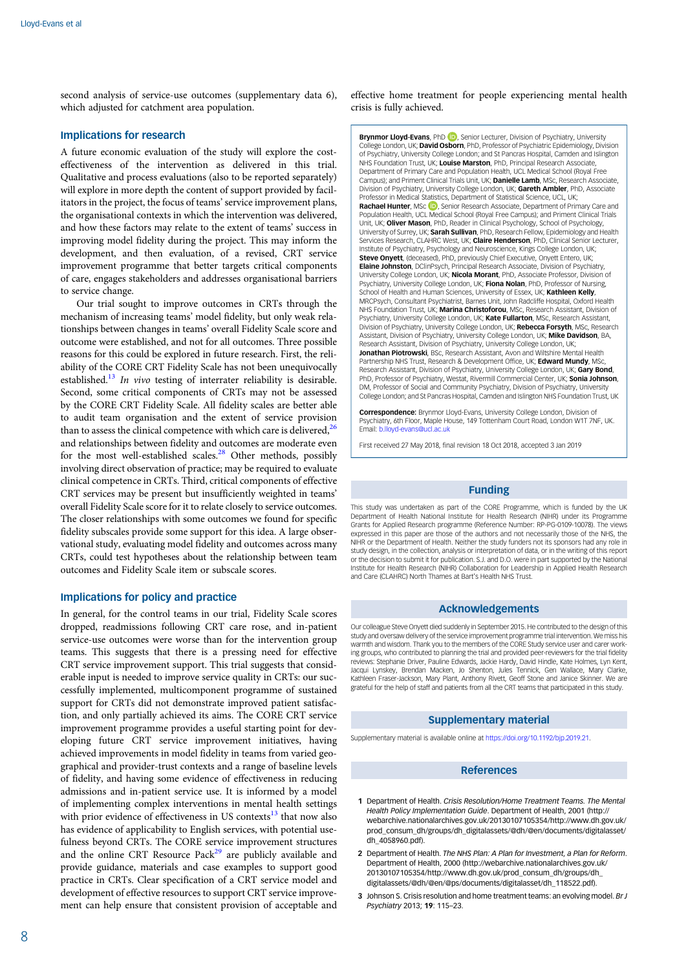<span id="page-7-0"></span>second analysis of service-use outcomes (supplementary data 6), which adjusted for catchment area population.

# Implications for research

A future economic evaluation of the study will explore the costeffectiveness of the intervention as delivered in this trial. Qualitative and process evaluations (also to be reported separately) will explore in more depth the content of support provided by facilitators in the project, the focus of teams' service improvement plans, the organisational contexts in which the intervention was delivered, and how these factors may relate to the extent of teams' success in improving model fidelity during the project. This may inform the development, and then evaluation, of a revised, CRT service improvement programme that better targets critical components of care, engages stakeholders and addresses organisational barriers to service change.

Our trial sought to improve outcomes in CRTs through the mechanism of increasing teams' model fidelity, but only weak relationships between changes in teams' overall Fidelity Scale score and outcome were established, and not for all outcomes. Three possible reasons for this could be explored in future research. First, the reliability of the CORE CRT Fidelity Scale has not been unequivocally established.<sup>[13](#page-8-0)</sup> In vivo testing of interrater reliability is desirable. Second, some critical components of CRTs may not be assessed by the CORE CRT Fidelity Scale. All fidelity scales are better able to audit team organisation and the extent of service provision than to assess the clinical competence with which care is delivered,  $26$ and relationships between fidelity and outcomes are moderate even for the most well-established scales. $28$  Other methods, possibly involving direct observation of practice; may be required to evaluate clinical competence in CRTs. Third, critical components of effective CRT services may be present but insufficiently weighted in teams' overall Fidelity Scale score for it to relate closely to service outcomes. The closer relationships with some outcomes we found for specific fidelity subscales provide some support for this idea. A large observational study, evaluating model fidelity and outcomes across many CRTs, could test hypotheses about the relationship between team outcomes and Fidelity Scale item or subscale scores.

# Implications for policy and practice

In general, for the control teams in our trial, Fidelity Scale scores dropped, readmissions following CRT care rose, and in-patient service-use outcomes were worse than for the intervention group teams. This suggests that there is a pressing need for effective CRT service improvement support. This trial suggests that considerable input is needed to improve service quality in CRTs: our successfully implemented, multicomponent programme of sustained support for CRTs did not demonstrate improved patient satisfaction, and only partially achieved its aims. The CORE CRT service improvement programme provides a useful starting point for developing future CRT service improvement initiatives, having achieved improvements in model fidelity in teams from varied geographical and provider-trust contexts and a range of baseline levels of fidelity, and having some evidence of effectiveness in reducing admissions and in-patient service use. It is informed by a model of implementing complex interventions in mental health settings with prior evidence of effectiveness in US contexts $^{13}$  $^{13}$  $^{13}$  that now also has evidence of applicability to English services, with potential usefulness beyond CRTs. The CORE service improvement structures and the online CRT Resource Pack $29$  are publicly available and provide guidance, materials and case examples to support good practice in CRTs. Clear specification of a CRT service model and development of effective resources to support CRT service improvement can help ensure that consistent provision of acceptable and

**Brynmor Lloyd-Evans**[,](http://orcid.org/0000-0001-9866-788X) PhD **D**, Senior Lecturer, Division of Psychiatry, University College London, UK; David Osborn, PhD, Professor of Psychiatric Epidemiology, Division of Psychiatry, University College London; and St Pancras Hospital, Camden and Islington NHS Foundation Trust, UK; Louise Marston, PhD, Principal Research Associate Department of Primary Care and Population Health, UCL Medical School (Royal Free Campus); and Priment Clinical Trials Unit, UK; Danielle Lamb, MSc, Research Associate, Division of Psychiatry, University College London, UK; **Gareth Ambler**, PhD, Associate<br>Professor in Medical Sta<u>ti</u>stics, Department of St[atist](http://orcid.org/0000-0002-7447-8934)ical Science, UCL, UK; Rachael Hunter, MSc (D), Senior Research Associate, Department of Primary Care and Population Health, UCL Medical School (Royal Free Campus); and Priment Clinical Trials<br>Unit, UK; **Oliver Mason**, PhD, Reader in Clinical Psychology, School of Psychology, University of Surrey, UK; Sarah Sullivan, PhD, Research Fellow, Epidemiology and Health Services Research, CLAHRC West, UK; Claire Henderson, PhD, Clinical Senior Lecturer, Institute of Psychiatry, Psychology and Neuroscience, Kings College London, UK; Steve Onyett, (deceased), PhD, previously Chief Executive, Onyett Entero, UK; Elaine Johnston, DClinPsych, Principal Research Associate, Division of Psychiatry, University College London, UK; Nicola Morant, PhD, Associate Professor, Division of Psychiatry, University College London, UK; Fiona Nolan, PhD, Professor of Nursing, School of Health and Human Sciences, University of Essex, UK; Kathleen Kelly, MRCPsych, Consultant Psychiatrist, Barnes Unit, John Radcliffe Hospital, Oxford Health NHS Foundation Trust, UK; Marina Christoforou, MSc, Research Assistant, Division of Psychiatry, University College London, UK; Kate Fullarton, MSc, Research Assistant, Division of Psychiatry, University College London, UK; Rebecca Forsyth, MSc, Research Assistant, Division of Psychiatry, University College London, UK; Mike Davidson, BA Research Assistant, Division of Psychiatry, University College London, UK; Jonathan Piotrowski, BSc, Research Assistant, Avon and Wiltshire Mental Health Partnership NHS Trust, Research & Development Office, UK; Edward Mundy, MSc, Research Assistant, Division of Psychiatry, University College London, UK; Gary Bond, PhD, Professor of Psychiatry, Westat, Rivermill Commercial Center, UK; Sonia Johnson, DM, Professor of Social and Community Psychiatry, Division of Psychiatry, University College London; and St Pancras Hospital, Camden and Islington NHS Foundation Trust, UK

Correspondence: Brynmor Lloyd-Evans, University College London, Division of Psychiatry, 6th Floor, Maple House, 149 Tottenham Court Road, London W1T 7NF, UK. Email: [b.lloyd-evans@ucl.ac.uk](mailto:b.lloyd-evans@ucl.ac.uk)

First received 27 May 2018, final revision 18 Oct 2018, accepted 3 Jan 2019

## Funding

This study was undertaken as part of the CORE Programme, which is funded by the UK Department of Health National Institute for Health Research (NIHR) under its Programme Grants for Applied Research programme (Reference Number: RP-PG-0109-10078). The views expressed in this paper are those of the authors and not necessarily those of the NHS, the NIHR or the Department of Health. Neither the study funders not its sponsors had any role in study design, in the collection, analysis or interpretation of data, or in the writing of this report or the decision to submit it for publication. S.J. and D.O. were in part supported by the National Institute for Health Research (NIHR) Collaboration for Leadership in Applied Health Research and Care (CLAHRC) North Thames at Bart's Health NHS Trust.

## Acknowledgements

Our colleague Steve Onyett died suddenly in September 2015. He contributed to the design of this study and oversaw delivery of the service improvement programme trial intervention. We miss his warmth and wisdom. Thank you to the members of the CORE Study service user and carer working groups, who contributed to planning the trial and provided peer-reviewers for the trial fidelity reviews: Stephanie Driver, Pauline Edwards, Jackie Hardy, David Hindle, Kate Holmes, Lyn Kent, Jacqui Lynskey, Brendan Macken, Jo Shenton, Jules Tennick, Gen Wallace, Mary Clarke, Kathleen Fraser-Jackson, Mary Plant, Anthony Rivett, Geoff Stone and Janice Skinner. We are grateful for the help of staff and patients from all the CRT teams that participated in this study.

#### Supplementary material

Supplementary material is available online at <https://doi.org/10.1192/bjp.2019.21>.

#### **References**

- 1 Department of Health. Crisis Resolution/Home Treatment Teams. The Mental Health Policy Implementation Guide. Department of Health, 2001 (http:// webarchive.nationalarchives.gov.uk/20130107105354/http://www.dh.gov.uk/ prod\_consum\_dh/groups/dh\_digitalassets/@dh/@en/documents/digitalasset/ dh $4058960.pdf$ .
- 2 Department of Health. The NHS Plan: A Plan for Investment, a Plan for Reform. Department of Health, 2000 (http://webarchive.nationalarchives.gov.uk/ 20130107105354/http://www.dh.gov.uk/prod\_consum\_dh/groups/dh\_ digitalassets/@dh/@en/@ps/documents/digitalasset/dh\_118522.pdf).
- 3 Johnson S. Crisis resolution and home treatment teams: an evolving model. Br J Psychiatry 2013; 19: 115–23.